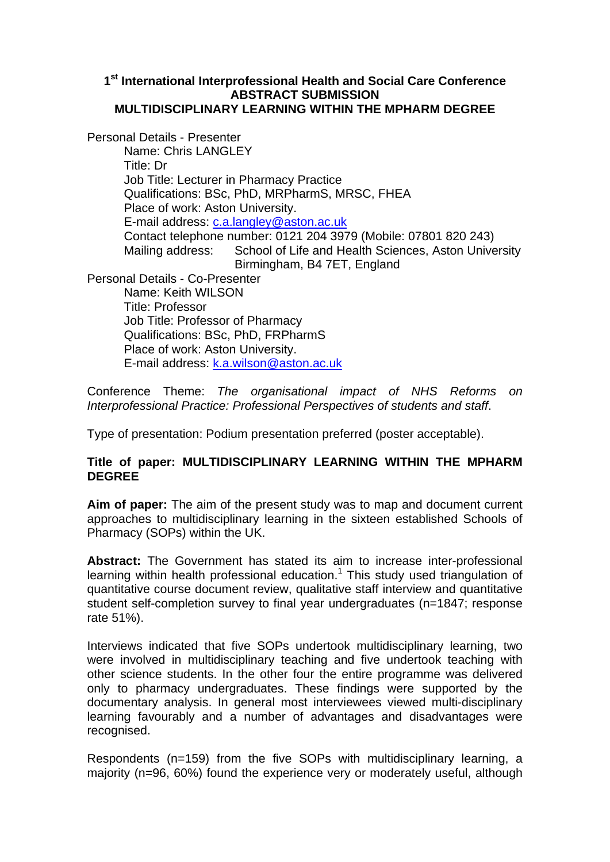## **1st International Interprofessional Health and Social Care Conference ABSTRACT SUBMISSION MULTIDISCIPLINARY LEARNING WITHIN THE MPHARM DEGREE**

Personal Details - Presenter Name: Chris LANGLEY Title: Dr Job Title: Lecturer in Pharmacy Practice Qualifications: BSc, PhD, MRPharmS, MRSC, FHEA Place of work: Aston University. E-mail address: c.a.langley@aston.ac.uk Contact telephone number: 0121 204 3979 (Mobile: 07801 820 243) Mailing address: School of Life and Health Sciences, Aston University Birmingham, B4 7ET, England Personal Details - Co-Presenter Name: Keith WILSON Title: Professor Job Title: Professor of Pharmacy Qualifications: BSc, PhD, FRPharmS Place of work: Aston University. E-mail address: k.a.wilson@aston.ac.uk

Conference Theme: *The organisational impact of NHS Reforms on Interprofessional Practice: Professional Perspectives of students and staff*.

Type of presentation: Podium presentation preferred (poster acceptable).

## **Title of paper: MULTIDISCIPLINARY LEARNING WITHIN THE MPHARM DEGREE**

**Aim of paper:** The aim of the present study was to map and document current approaches to multidisciplinary learning in the sixteen established Schools of Pharmacy (SOPs) within the UK.

**Abstract:** The Government has stated its aim to increase inter-professional learning within health professional education. $1$  This study used triangulation of quantitative course document review, qualitative staff interview and quantitative student self-completion survey to final year undergraduates (n=1847; response rate 51%).

Interviews indicated that five SOPs undertook multidisciplinary learning, two were involved in multidisciplinary teaching and five undertook teaching with other science students. In the other four the entire programme was delivered only to pharmacy undergraduates. These findings were supported by the documentary analysis. In general most interviewees viewed multi-disciplinary learning favourably and a number of advantages and disadvantages were recognised.

Respondents (n=159) from the five SOPs with multidisciplinary learning, a majority (n=96, 60%) found the experience very or moderately useful, although